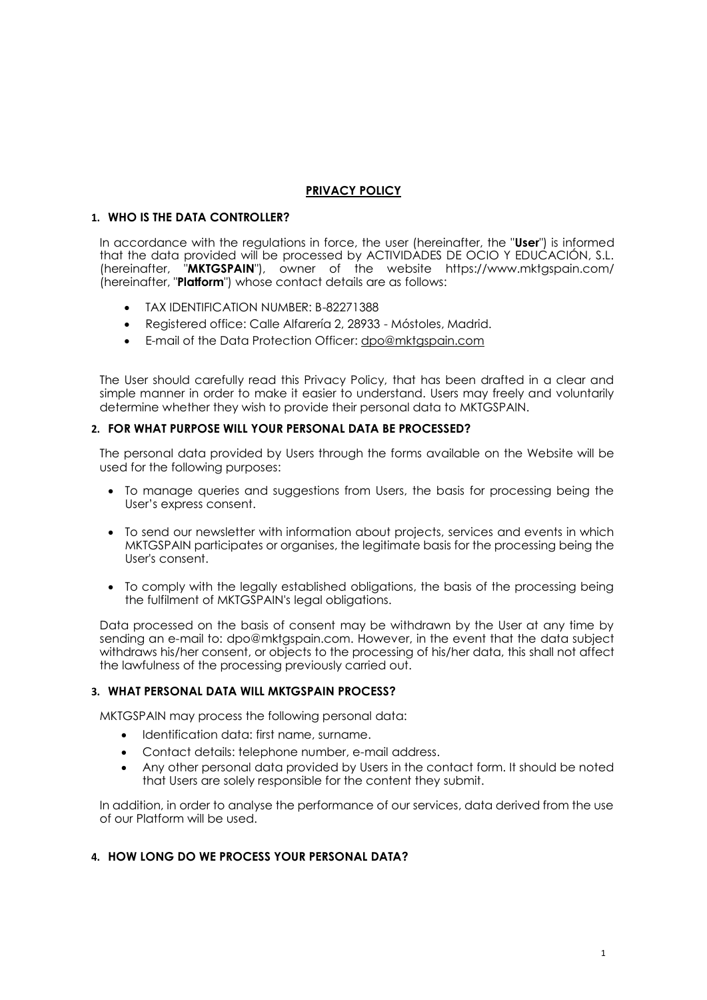# **PRIVACY POLICY**

## **1. WHO IS THE DATA CONTROLLER?**

In accordance with the regulations in force, the user (hereinafter, the "**User**") is informed that the data provided will be processed by ACTIVIDADES DE OCIO Y EDUCACIÓN, S.L. (hereinafter, "**MKTGSPAIN**"), owner of the website [https://www.mktgspain.com/](http://www.mktgspain.com/) (hereinafter, "**Platform**") whose contact details are as follows:

- TAX IDENTIFICATION NUMBER: B-82271388
- Registered office: Calle Alfarería 2, 28933 Móstoles, Madrid.
- E-mail of the Data Protection Officer: [dpo@mktgspain.com](mailto:dpo@mktgspain.com)

The User should carefully read this Privacy Policy, that has been drafted in a clear and simple manner in order to make it easier to understand. Users may freely and voluntarily determine whether they wish to provide their personal data to MKTGSPAIN.

# **2. FOR WHAT PURPOSE WILL YOUR PERSONAL DATA BE PROCESSED?**

The personal data provided by Users through the forms available on the Website will be used for the following purposes:

- To manage queries and suggestions from Users, the basis for processing being the User's express consent.
- To send our newsletter with information about projects, services and events in which MKTGSPAIN participates or organises, the legitimate basis for the processing being the User's consent.
- To comply with the legally established obligations, the basis of the processing being the fulfilment of MKTGSPAIN's legal obligations.

Data processed on the basis of consent may be withdrawn by the User at any time by sending an e-mail to: [dpo@mktgspain.com.](mailto:dpo@mktgspain.com) However, in the event that the data subject withdraws his/her consent, or objects to the processing of his/her data, this shall not affect the lawfulness of the processing previously carried out.

## **3. WHAT PERSONAL DATA WILL MKTGSPAIN PROCESS?**

MKTGSPAIN may process the following personal data:

- Identification data: first name, surname.
- Contact details: telephone number, e-mail address.
- Any other personal data provided by Users in the contact form. It should be noted that Users are solely responsible for the content they submit.

In addition, in order to analyse the performance of our services, data derived from the use of our Platform will be used.

## **4. HOW LONG DO WE PROCESS YOUR PERSONAL DATA?**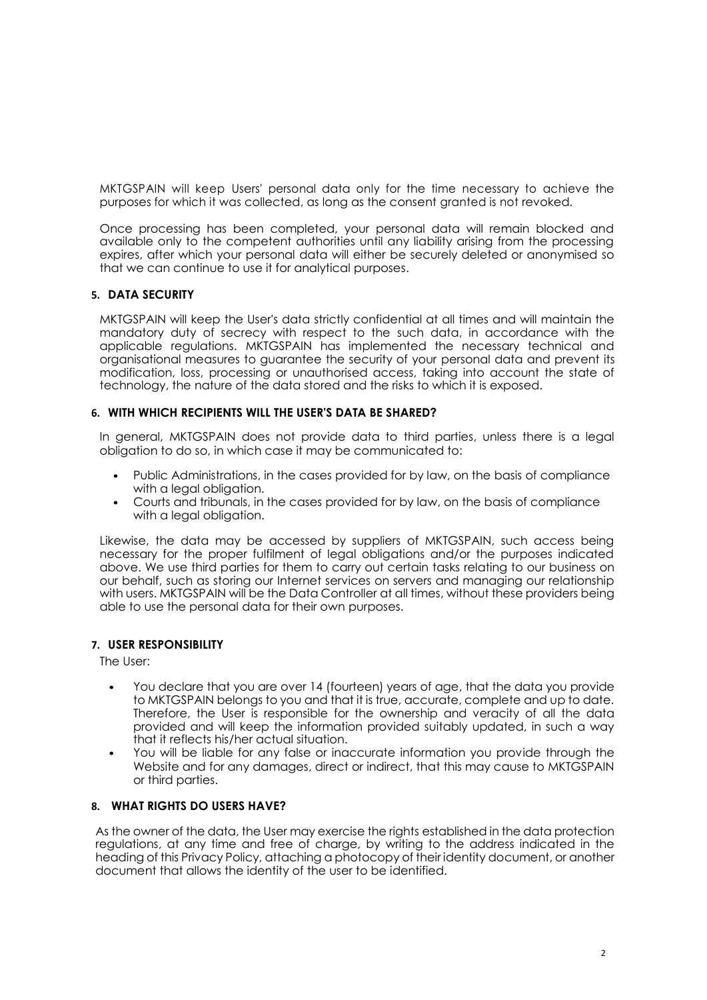MKTGSPAIN will keep Users' personal data only for the time necessary to achieve the purposes for which it was collected, as long as the consent granted is not revoked.

Once processing has been completed, your personal data will remain blocked and available only to the competent authorities until any liability arising from the processing expires, after which your personal data will either be securely deleted or anonymised so that we can continue to use it for analytical purposes.

## **5. DATA SECURITY**

MKTGSPAIN will keep the User's data strictly confidential at all times and will maintain the mandatory duty of secrecy with respect to the such data, in accordance with the applicable regulations. MKTGSPAIN has implemented the necessary technical and organisational measures to guarantee the security of your personal data and prevent its modification, loss, processing or unauthorised access, taking into account the state of technology, the nature of the data stored and the risks to which it is exposed.

#### **6. WITH WHICH RECIPIENTS WILL THE USER'S DATA BE SHARED?**

In general, MKTGSPAIN does not provide data to third parties, unless there is a legal obligation to do so, in which case it may be communicated to:

- Public Administrations, in the cases provided for by law, on the basis of compliance with a legal obligation.
- Courts and tribunals, in the cases provided for by law, on the basis of compliance with a legal obligation.

Likewise, the data may be accessed by suppliers of MKTGSPAIN, such access being necessary for the proper fulfilment of legal obligations and/or the purposes indicated above. We use third parties for them to carry out certain tasks relating to our business on our behalf, such as storing our Internet services on servers and managing our relationship with users. MKTGSPAIN will be the Data Controller at all times, without these providers being able to use the personal data for their own purposes.

## **7. USER RESPONSIBILITY**

The User:

- You declare that you are over 14 (fourteen) years of age, that the data you provide to MKTGSPAIN belongs to you and that it is true, accurate, complete and up to date. Therefore, the User is responsible for the ownership and veracity of all the data provided and will keep the information provided suitably updated, in such a way that it reflects his/her actual situation.
- You will be liable for any false or inaccurate information you provide through the Website and for any damages, direct or indirect, that this may cause to MKTGSPAIN or third parties.

## **8. WHAT RIGHTS DO USERS HAVE?**

As the owner of the data, the User may exercise the rights established in the data protection regulations, at any time and free of charge, by writing to the address indicated in the heading of this Privacy Policy, attaching a photocopy of their identity document, or another document that allows the identity of the user to be identified.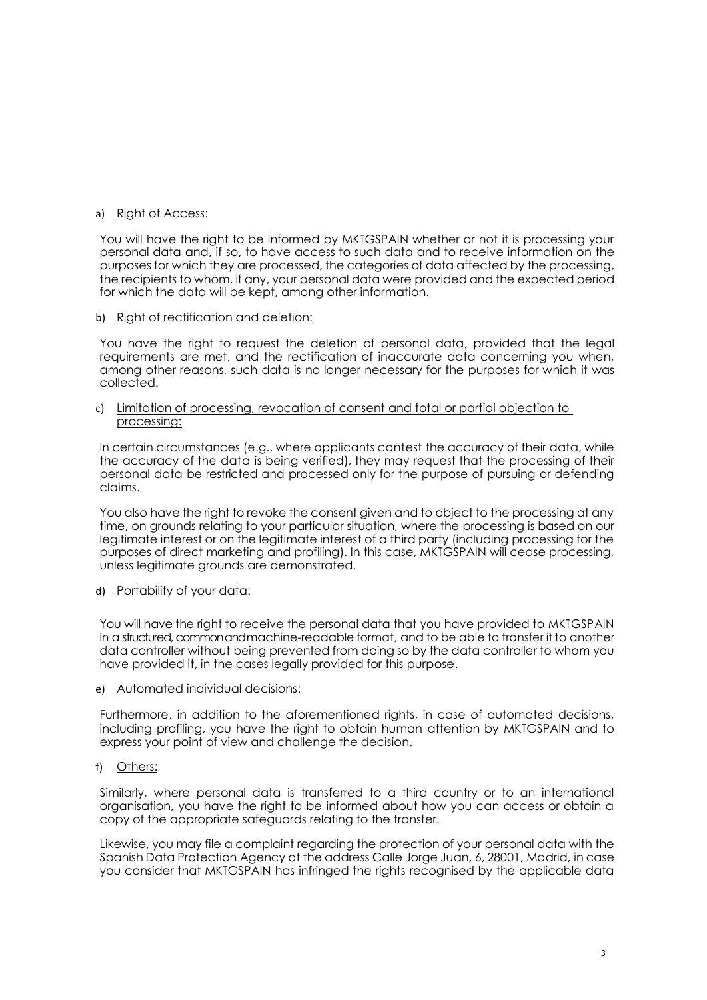## a) Right of Access:

You will have the right to be informed by MKTGSPAIN whether or not it is processing your personal data and, if so, to have access to such data and to receive information on the purposes for which they are processed, the categories of data affected by the processing, the recipients to whom, if any, your personal data were provided and the expected period for which the data will be kept, among other information.

#### b) Right of rectification and deletion:

You have the right to request the deletion of personal data, provided that the legal requirements are met, and the rectification of inaccurate data concerning you when, among other reasons, such data is no longer necessary for the purposes for which it was collected.

#### c) Limitation of processing, revocation of consent and total or partial objection to processing:

In certain circumstances (e.g., where applicants contest the accuracy of their data, while the accuracy of the data is being verified), they may request that the processing of their personal data be restricted and processed only for the purpose of pursuing or defending claims.

You also have the right to revoke the consent given and to object to the processing at any time, on grounds relating to your particular situation, where the processing is based on our legitimate interest or on the legitimate interest of a third party (including processing for the purposes of direct marketing and profiling). In this case, MKTGSPAIN will cease processing, unless legitimate grounds are demonstrated.

# d) Portability of your data:

You will have the right to receive the personal data that you have provided to MKTGSPAIN in a structured, common and machine-readable format, and to be able to transfer it to another data controller without being prevented from doing so by the data controller to whom you have provided it, in the cases legally provided for this purpose.

#### e) Automated individual decisions:

Furthermore, in addition to the aforementioned rights, in case of automated decisions, including profiling, you have the right to obtain human attention by MKTGSPAIN and to express your point of view and challenge the decision.

## f) Others:

Similarly, where personal data is transferred to a third country or to an international organisation, you have the right to be informed about how you can access or obtain a copy of the appropriate safeguards relating to the transfer.

Likewise, you may file a complaint regarding the protection of your personal data with the Spanish Data Protection Agency at the address Calle Jorge Juan, 6, 28001, Madrid, in case you consider that MKTGSPAIN has infringed the rights recognised by the applicable data